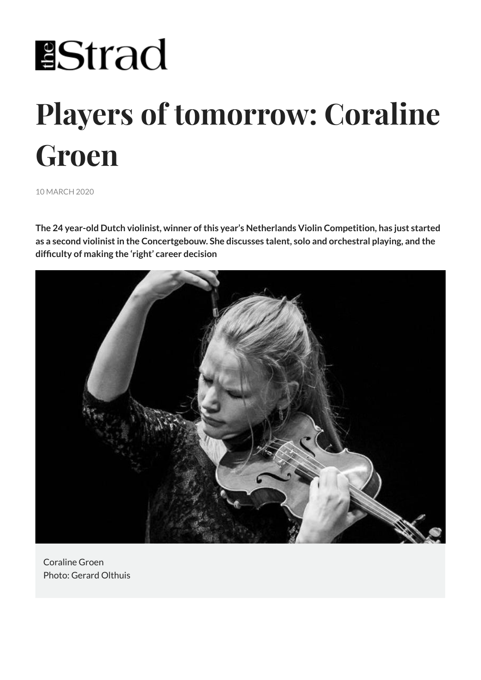# **EStrad**

# **Players of tomorrow: Coraline Groen**

10 MARCH 2020

**The 24 year-old Dutch violinist, winner of this year's Netherlands Violin Competition, has just started as a second violinist in the Concertgebouw. She discusses talent, solo and orchestral playing, and the difficulty of making the 'right' career decision**



Coraline Groen Photo: Gerard Olthuis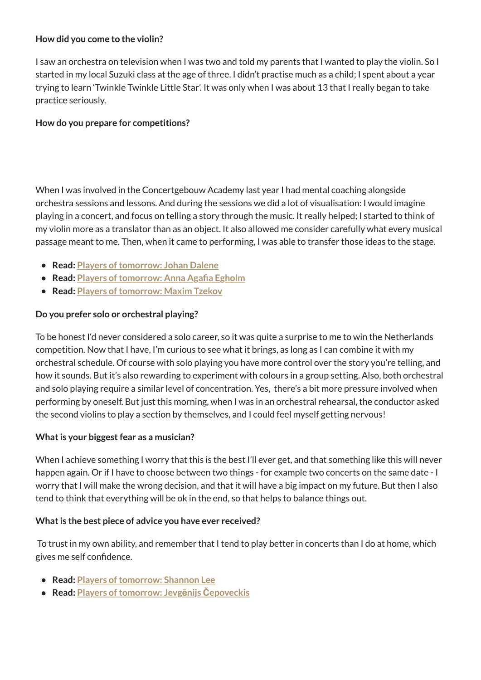## **How did you come to the violin?**

I saw an orchestra on television when I was two and told my parents that I wanted to play the violin. So I started in my local Suzuki class at the age of three. I didn't practise much as a child; I spent about a year trying to learn 'Twinkle Twinkle Little Star'. It was only when I was about 13 that I really began to take practice seriously.

### **How do you prepare for competitions?**

When I was involved in the Concertgebouw Academy last year I had mental coaching alongside orchestra sessions and lessons. And during the sessions we did a lot of visualisation: I would imagine playing in a concert, and focus on telling a story through the music. It really helped; I started to think of my violin more as a translator than as an object. It also allowed me consider carefully what every musical passage meant to me. Then, when it came to performing, I was able to transfer those ideas to the stage.

- **Read: Players of tomorrow: Johan Dalene**
- **Read: Players of tomorrow: Anna Agafia Egholm**
- **Read: Players of tomorrow: Maxim Tzekov**

# **Do you prefer solo or orchestral playing?**

To be honest I'd never considered a solo career, so it was quite a surprise to me to win the Netherlands competition. Now that I have, I'm curious to see what it brings, as long as I can combine it with my orchestral schedule. Of course with solo playing you have more control over the story you're telling, and how it sounds. But it's also rewarding to experiment with colours in a group setting. Also, both orchestral and solo playing require a similar level of concentration. Yes, there's a bit more pressure involved when performing by oneself. But just this morning, when I was in an orchestral rehearsal, the conductor asked the second violins to play a section by themselves, and I could feel myself getting nervous!

# **What is your biggest fear as a musician?**

When I achieve something I worry that this is the best I'll ever get, and that something like this will never happen again. Or if I have to choose between two things - for example two concerts on the same date - I worry that I will make the wrong decision, and that it will have a big impact on my future. But then I also tend to think that everything will be ok in the end, so that helps to balance things out.

#### **What is the best piece of advice you have ever received?**

 To trust in my own ability, and remember that I tend to play better in concerts than I do at home, which gives me self confidence.

- **Read: Players of tomorrow: Shannon Lee**
- **Read: Players of tomorrow: Jevgēnijs Čepoveckis**